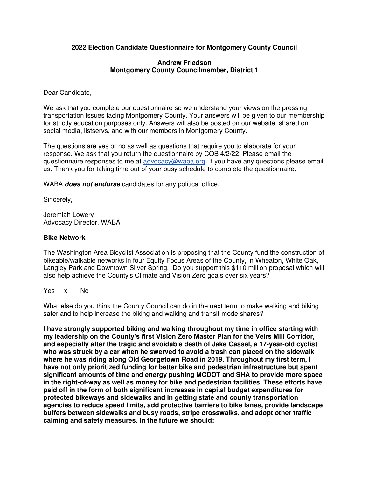# **2022 Election Candidate Questionnaire for Montgomery County Council**

## **Andrew Friedson Montgomery County Councilmember, District 1**

Dear Candidate,

We ask that you complete our questionnaire so we understand your views on the pressing transportation issues facing Montgomery County. Your answers will be given to our membership for strictly education purposes only. Answers will also be posted on our website, shared on social media, listservs, and with our members in Montgomery County.

The questions are yes or no as well as questions that require you to elaborate for your response. We ask that you return the questionnaire by COB 4/2/22. Please email the questionnaire responses to me at [advocacy@waba.org.](mailto:advocacy@waba.org) If you have any questions please email us. Thank you for taking time out of your busy schedule to complete the questionnaire.

WABA **does not endorse** candidates for any political office.

Sincerely,

Jeremiah Lowery Advocacy Director, WABA

## **Bike Network**

The Washington Area Bicyclist Association is proposing that the County fund the construction of bikeable/walkable networks in four Equity Focus Areas of the County, in Wheaton, White Oak, Langley Park and Downtown Silver Spring. Do you support this \$110 million proposal which will also help achieve the County's Climate and Vision Zero goals over six years?

Yes  $x$  No  $-$ 

What else do you think the County Council can do in the next term to make walking and biking safer and to help increase the biking and walking and transit mode shares?

**I have strongly supported biking and walking throughout my time in office starting with my leadership on the County's first Vision Zero Master Plan for the Veirs Mill Corridor, and especially after the tragic and avoidable death of Jake Cassel, a 17-year-old cyclist who was struck by a car when he swerved to avoid a trash can placed on the sidewalk where he was riding along Old Georgetown Road in 2019. Throughout my first term, I have not only prioritized funding for better bike and pedestrian infrastructure but spent significant amounts of time and energy pushing MCDOT and SHA to provide more space in the right-of-way as well as money for bike and pedestrian facilities. These efforts have paid off in the form of both significant increases in capital budget expenditures for protected bikeways and sidewalks and in getting state and county transportation agencies to reduce speed limits, add protective barriers to bike lanes, provide landscape buffers between sidewalks and busy roads, stripe crosswalks, and adopt other traffic calming and safety measures. In the future we should:**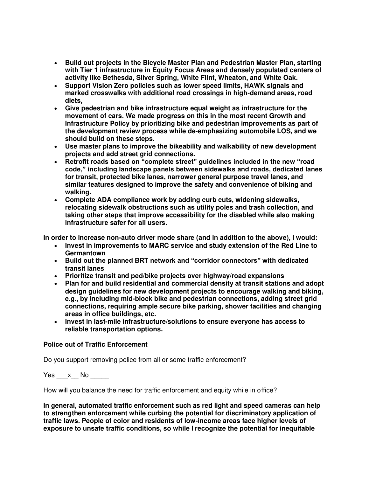- **Build out projects in the Bicycle Master Plan and Pedestrian Master Plan, starting with Tier 1 infrastructure in Equity Focus Areas and densely populated centers of activity like Bethesda, Silver Spring, White Flint, Wheaton, and White Oak.**
- **Support Vision Zero policies such as lower speed limits, HAWK signals and marked crosswalks with additional road crossings in high-demand areas, road diets,**
- **Give pedestrian and bike infrastructure equal weight as infrastructure for the movement of cars. We made progress on this in the most recent Growth and Infrastructure Policy by prioritizing bike and pedestrian improvements as part of the development review process while de-emphasizing automobile LOS, and we should build on these steps.**
- **Use master plans to improve the bikeability and walkability of new development projects and add street grid connections.**
- **Retrofit roads based on "complete street" guidelines included in the new "road code," including landscape panels between sidewalks and roads, dedicated lanes for transit, protected bike lanes, narrower general purpose travel lanes, and similar features designed to improve the safety and convenience of biking and walking.**
- **Complete ADA compliance work by adding curb cuts, widening sidewalks, relocating sidewalk obstructions such as utility poles and trash collection, and taking other steps that improve accessibility for the disabled while also making infrastructure safer for all users.**

**In order to increase non-auto driver mode share (and in addition to the above), I would:** 

- **Invest in improvements to MARC service and study extension of the Red Line to Germantown**
- **Build out the planned BRT network and "corridor connectors" with dedicated transit lanes**
- **Prioritize transit and ped/bike projects over highway/road expansions**
- **Plan for and build residential and commercial density at transit stations and adopt design guidelines for new development projects to encourage walking and biking, e.g., by including mid-block bike and pedestrian connections, adding street grid connections, requiring ample secure bike parking, shower facilities and changing areas in office buildings, etc.**
- **Invest in last-mile infrastructure/solutions to ensure everyone has access to reliable transportation options.**

# **Police out of Traffic Enforcement**

Do you support removing police from all or some traffic enforcement?

Yes  $\times$  No  $\overline{\phantom{a}}$ 

How will you balance the need for traffic enforcement and equity while in office?

**In general, automated traffic enforcement such as red light and speed cameras can help to strengthen enforcement while curbing the potential for discriminatory application of traffic laws. People of color and residents of low-income areas face higher levels of exposure to unsafe traffic conditions, so while I recognize the potential for inequitable**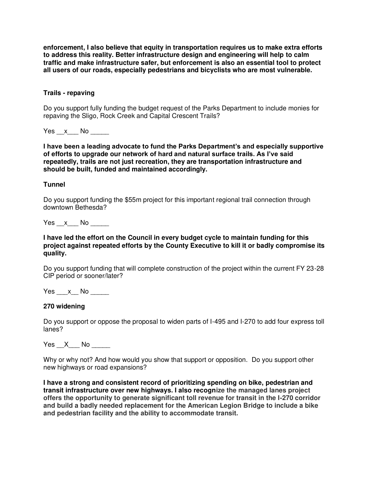**enforcement, I also believe that equity in transportation requires us to make extra efforts to address this reality. Better infrastructure design and engineering will help to calm traffic and make infrastructure safer, but enforcement is also an essential tool to protect all users of our roads, especially pedestrians and bicyclists who are most vulnerable.** 

## **Trails - repaving**

Do you support fully funding the budget request of the Parks Department to include monies for repaving the Sligo, Rock Creek and Capital Crescent Trails?

Yes x No  $\overline{a}$ 

**I have been a leading advocate to fund the Parks Department's and especially supportive of efforts to upgrade our network of hard and natural surface trails. As I've said repeatedly, trails are not just recreation, they are transportation infrastructure and should be built, funded and maintained accordingly.** 

## **Tunnel**

Do you support funding the \$55m project for this important regional trail connection through downtown Bethesda?

Yes  $x$  No  $-$ 

## **I have led the effort on the Council in every budget cycle to maintain funding for this project against repeated efforts by the County Executive to kill it or badly compromise its quality.**

Do you support funding that will complete construction of the project within the current FY 23-28 CIP period or sooner/later?

Yes x No  $\blacksquare$ 

## **270 widening**

Do you support or oppose the proposal to widen parts of I-495 and I-270 to add four express toll lanes?

Yes X No  $\blacksquare$ 

Why or why not? And how would you show that support or opposition. Do you support other new highways or road expansions?

**I have a strong and consistent record of prioritizing spending on bike, pedestrian and transit infrastructure over new highways. I also recognize the managed lanes project offers the opportunity to generate significant toll revenue for transit in the I-270 corridor and build a badly needed replacement for the American Legion Bridge to include a bike and pedestrian facility and the ability to accommodate transit.**